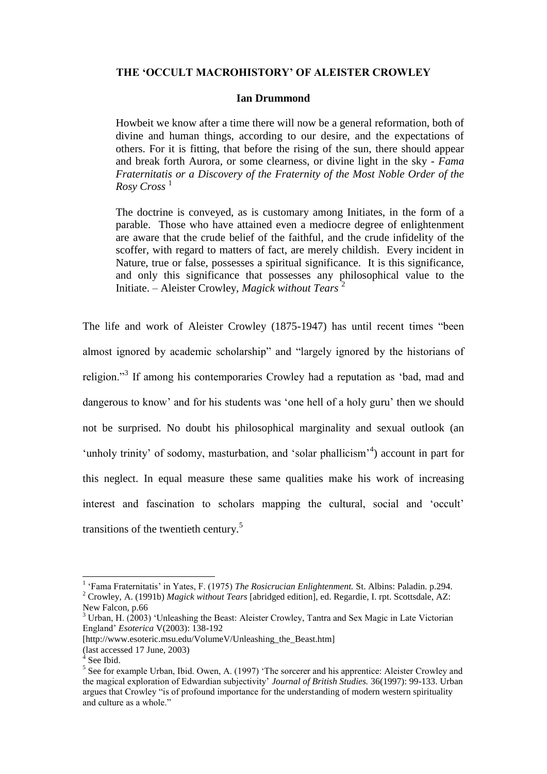## **THE 'OCCULT MACROHISTORY' OF ALEISTER CROWLEY**

## **Ian Drummond**

Howbeit we know after a time there will now be a general reformation, both of divine and human things, according to our desire, and the expectations of others. For it is fitting, that before the rising of the sun, there should appear and break forth Aurora, or some clearness, or divine light in the sky - *Fama Fraternitatis or a Discovery of the Fraternity of the Most Noble Order of the Rosy Cross* <sup>1</sup>

The doctrine is conveyed, as is customary among Initiates, in the form of a parable. Those who have attained even a mediocre degree of enlightenment are aware that the crude belief of the faithful, and the crude infidelity of the scoffer, with regard to matters of fact, are merely childish. Every incident in Nature, true or false, possesses a spiritual significance. It is this significance, and only this significance that possesses any philosophical value to the Initiate. – Aleister Crowley, *Magick without Tears* <sup>2</sup>

The life and work of Aleister Crowley (1875-1947) has until recent times "been almost ignored by academic scholarship" and "largely ignored by the historians of religion."<sup>3</sup> If among his contemporaries Crowley had a reputation as 'bad, mad and dangerous to know' and for his students was 'one hell of a holy guru' then we should not be surprised. No doubt his philosophical marginality and sexual outlook (an 'unholy trinity' of sodomy, masturbation, and 'solar phallicism'<sup>4</sup>) account in part for this neglect. In equal measure these same qualities make his work of increasing interest and fascination to scholars mapping the cultural, social and 'occult' transitions of the twentieth century.<sup>5</sup>

<sup>&</sup>lt;sup>1</sup> 'Fama Fraternitatis' in Yates, F. (1975) *The Rosicrucian Enlightenment*. St. Albins: Paladin. p.294. 2 Crowley, A. (1991b) *Magick without Tears* [abridged edition], ed. Regardie, I. rpt. Scottsdale, AZ: New Falcon, p.66

<sup>&</sup>lt;sup>3</sup> Urban, H. (2003) 'Unleashing the Beast: Aleister Crowley, Tantra and Sex Magic in Late Victorian England' *Esoterica* V(2003): 138-192

<sup>[</sup>http://www.esoteric.msu.edu/VolumeV/Unleashing the Beast.htm]

<sup>(</sup>last accessed 17 June, 2003)

<sup>&</sup>lt;sup>4</sup> See Ibid.

<sup>&</sup>lt;sup>5</sup> See for example Urban, Ibid. Owen, A. (1997) 'The sorcerer and his apprentice: Aleister Crowley and the magical exploration of Edwardian subjectivity' *Journal of British Studies.* 36(1997): 99-133. Urban argues that Crowley "is of profound importance for the understanding of modern western spirituality and culture as a whole."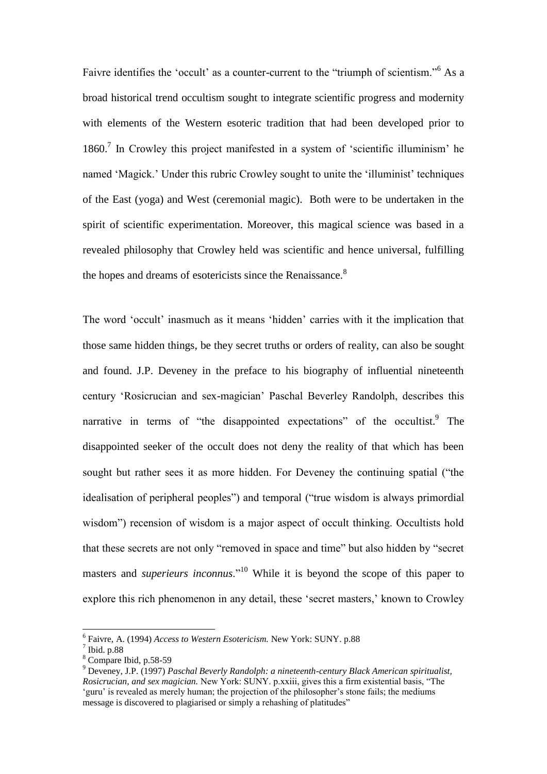Faivre identifies the 'occult' as a counter-current to the "triumph of scientism."<sup>6</sup> As a broad historical trend occultism sought to integrate scientific progress and modernity with elements of the Western esoteric tradition that had been developed prior to 1860.<sup>7</sup> In Crowley this project manifested in a system of 'scientific illuminism' he named 'Magick.' Under this rubric Crowley sought to unite the 'illuminist' techniques of the East (yoga) and West (ceremonial magic). Both were to be undertaken in the spirit of scientific experimentation. Moreover, this magical science was based in a revealed philosophy that Crowley held was scientific and hence universal, fulfilling the hopes and dreams of esotericists since the Renaissance.<sup>8</sup>

The word 'occult' inasmuch as it means 'hidden' carries with it the implication that those same hidden things, be they secret truths or orders of reality, can also be sought and found. J.P. Deveney in the preface to his biography of influential nineteenth century 'Rosicrucian and sex-magician' Paschal Beverley Randolph, describes this narrative in terms of "the disappointed expectations" of the occultist.<sup>9</sup> The disappointed seeker of the occult does not deny the reality of that which has been sought but rather sees it as more hidden. For Deveney the continuing spatial ("the idealisation of peripheral peoples") and temporal ("true wisdom is always primordial wisdom") recension of wisdom is a major aspect of occult thinking. Occultists hold that these secrets are not only "removed in space and time" but also hidden by "secret masters and *superieurs inconnus*."<sup>10</sup> While it is beyond the scope of this paper to explore this rich phenomenon in any detail, these 'secret masters,' known to Crowley

 $\overline{a}$ 

<sup>6</sup> Faivre, A. (1994) *Access to Western Esotericism.* New York: SUNY. p.88

 $<sup>7</sup>$  Ibid. p.88</sup>

<sup>8</sup> Compare Ibid, p.58-59

<sup>9</sup> Deveney, J.P. (1997) *Paschal Beverly Randolph: a nineteenth-century Black American spiritualist, Rosicrucian, and sex magician.* New York: SUNY. p.xxiii, gives this a firm existential basis, "The 'guru' is revealed as merely human; the projection of the philosopher's stone fails; the mediums message is discovered to plagiarised or simply a rehashing of platitudes"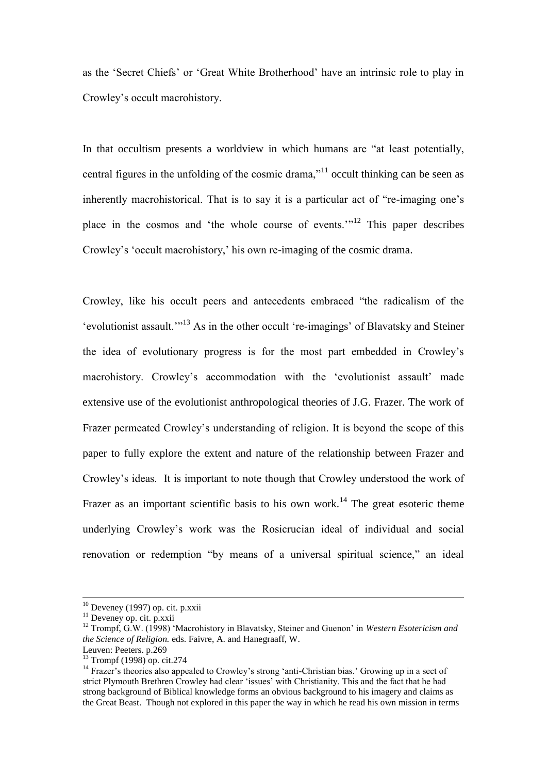as the 'Secret Chiefs' or 'Great White Brotherhood' have an intrinsic role to play in Crowley's occult macrohistory.

In that occultism presents a worldview in which humans are "at least potentially, central figures in the unfolding of the cosmic drama,"<sup>11</sup> occult thinking can be seen as inherently macrohistorical. That is to say it is a particular act of "re-imaging one's place in the cosmos and 'the whole course of events.'"<sup>12</sup> This paper describes Crowley's 'occult macrohistory,' his own re-imaging of the cosmic drama.

Crowley, like his occult peers and antecedents embraced "the radicalism of the 'evolutionist assault.'"<sup>13</sup> As in the other occult 're-imagings' of Blavatsky and Steiner the idea of evolutionary progress is for the most part embedded in Crowley's macrohistory. Crowley's accommodation with the 'evolutionist assault' made extensive use of the evolutionist anthropological theories of J.G. Frazer. The work of Frazer permeated Crowley's understanding of religion. It is beyond the scope of this paper to fully explore the extent and nature of the relationship between Frazer and Crowley's ideas. It is important to note though that Crowley understood the work of Frazer as an important scientific basis to his own work.<sup>14</sup> The great esoteric theme underlying Crowley's work was the Rosicrucian ideal of individual and social renovation or redemption "by means of a universal spiritual science," an ideal

-

Leuven: Peeters. p.269

 $10$  Deveney (1997) op. cit. p.xxii

 $11$  Deveney op. cit. p.xxii

<sup>12</sup> Trompf, G.W. (1998) 'Macrohistory in Blavatsky, Steiner and Guenon' in *Western Esotericism and the Science of Religion.* eds. Faivre, A. and Hanegraaff, W.

<sup>&</sup>lt;sup>13</sup> Trompf (1998) op. cit.274

<sup>&</sup>lt;sup>14</sup> Frazer's theories also appealed to Crowley's strong 'anti-Christian bias.' Growing up in a sect of strict Plymouth Brethren Crowley had clear 'issues' with Christianity. This and the fact that he had strong background of Biblical knowledge forms an obvious background to his imagery and claims as the Great Beast. Though not explored in this paper the way in which he read his own mission in terms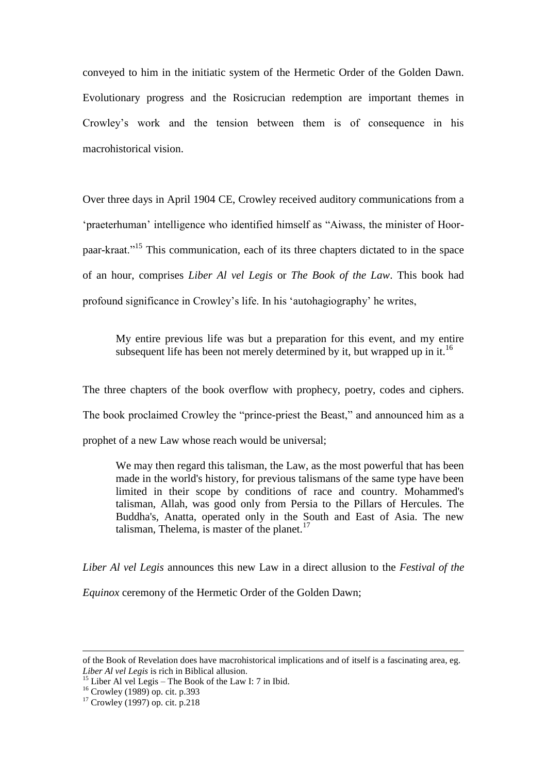conveyed to him in the initiatic system of the Hermetic Order of the Golden Dawn. Evolutionary progress and the Rosicrucian redemption are important themes in Crowley's work and the tension between them is of consequence in his macrohistorical vision.

Over three days in April 1904 CE, Crowley received auditory communications from a 'praeterhuman' intelligence who identified himself as "Aiwass, the minister of Hoorpaar-kraat."<sup>15</sup> This communication, each of its three chapters dictated to in the space of an hour, comprises *Liber Al vel Legis* or *The Book of the Law*. This book had profound significance in Crowley's life. In his 'autohagiography' he writes,

My entire previous life was but a preparation for this event, and my entire subsequent life has been not merely determined by it, but wrapped up in it.<sup>16</sup>

The three chapters of the book overflow with prophecy, poetry, codes and ciphers. The book proclaimed Crowley the "prince-priest the Beast," and announced him as a prophet of a new Law whose reach would be universal;

We may then regard this talisman, the Law, as the most powerful that has been made in the world's history, for previous talismans of the same type have been limited in their scope by conditions of race and country. Mohammed's talisman, Allah, was good only from Persia to the Pillars of Hercules. The Buddha's, Anatta, operated only in the South and East of Asia. The new talisman, Thelema, is master of the planet. $17$ 

*Liber Al vel Legis* announces this new Law in a direct allusion to the *Festival of the* 

*Equinox* ceremony of the Hermetic Order of the Golden Dawn;

-

of the Book of Revelation does have macrohistorical implications and of itself is a fascinating area, eg. *Liber Al vel Legis* is rich in Biblical allusion.

 $^{15}$  Liber Al vel Legis – The Book of the Law I: 7 in Ibid.

<sup>16</sup> Crowley (1989) op. cit. p.393

 $17$  Crowley (1997) op. cit. p.218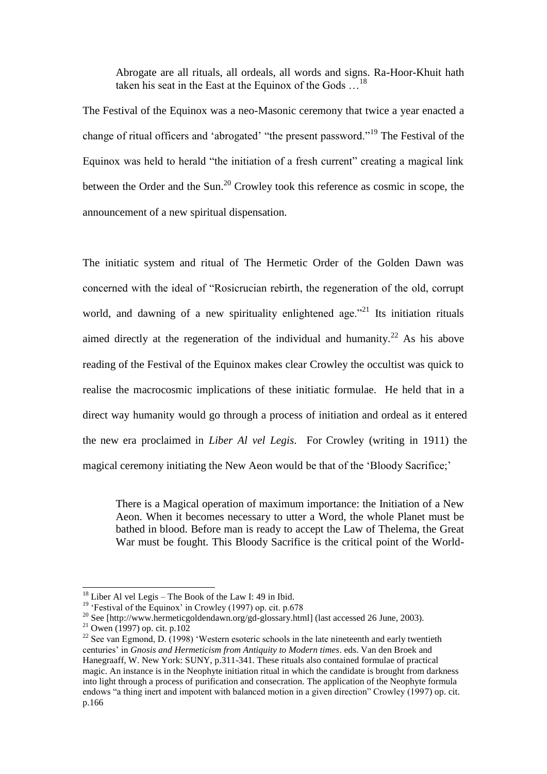Abrogate are all rituals, all ordeals, all words and signs. Ra-Hoor-Khuit hath taken his seat in the East at the Equinox of the Gods …<sup>18</sup>

The Festival of the Equinox was a neo-Masonic ceremony that twice a year enacted a change of ritual officers and 'abrogated' "the present password."<sup>19</sup> The Festival of the Equinox was held to herald "the initiation of a fresh current" creating a magical link between the Order and the Sun.<sup>20</sup> Crowley took this reference as cosmic in scope, the announcement of a new spiritual dispensation.

The initiatic system and ritual of The Hermetic Order of the Golden Dawn was concerned with the ideal of "Rosicrucian rebirth, the regeneration of the old, corrupt world, and dawning of a new spirituality enlightened age.<sup> $21$ </sup> Its initiation rituals aimed directly at the regeneration of the individual and humanity.<sup>22</sup> As his above reading of the Festival of the Equinox makes clear Crowley the occultist was quick to realise the macrocosmic implications of these initiatic formulae. He held that in a direct way humanity would go through a process of initiation and ordeal as it entered the new era proclaimed in *Liber Al vel Legis*. For Crowley (writing in 1911) the magical ceremony initiating the New Aeon would be that of the 'Bloody Sacrifice;'

There is a Magical operation of maximum importance: the Initiation of a New Aeon. When it becomes necessary to utter a Word, the whole Planet must be bathed in blood. Before man is ready to accept the Law of Thelema, the Great War must be fought. This Bloody Sacrifice is the critical point of the World-

 $18$  Liber Al vel Legis – The Book of the Law I: 49 in Ibid.

<sup>&</sup>lt;sup>19</sup> 'Festival of the Equinox' in Crowley (1997) op. cit. p.678

<sup>&</sup>lt;sup>20</sup> See [http://www.hermeticgoldendawn.org/gd-glossary.html] (last accessed 26 June, 2003).

 $21$  Owen (1997) op. cit. p.102

 $^{22}$  See van Egmond, D. (1998) 'Western esoteric schools in the late nineteenth and early twentieth centuries' in *Gnosis and Hermeticism from Antiquity to Modern times*. eds. Van den Broek and Hanegraaff, W. New York: SUNY, p.311-341. These rituals also contained formulae of practical magic. An instance is in the Neophyte initiation ritual in which the candidate is brought from darkness into light through a process of purification and consecration. The application of the Neophyte formula endows "a thing inert and impotent with balanced motion in a given direction" Crowley (1997) op. cit. p.166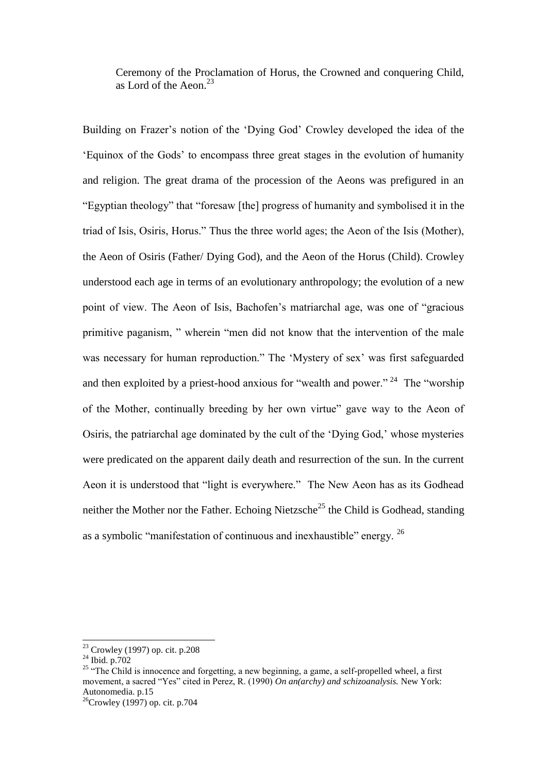Ceremony of the Proclamation of Horus, the Crowned and conquering Child, as Lord of the Aeon. $^{23}$ 

Building on Frazer's notion of the 'Dying God' Crowley developed the idea of the 'Equinox of the Gods' to encompass three great stages in the evolution of humanity and religion. The great drama of the procession of the Aeons was prefigured in an "Egyptian theology" that "foresaw [the] progress of humanity and symbolised it in the triad of Isis, Osiris, Horus." Thus the three world ages; the Aeon of the Isis (Mother), the Aeon of Osiris (Father/ Dying God), and the Aeon of the Horus (Child). Crowley understood each age in terms of an evolutionary anthropology; the evolution of a new point of view. The Aeon of Isis, Bachofen's matriarchal age, was one of "gracious primitive paganism, " wherein "men did not know that the intervention of the male was necessary for human reproduction." The 'Mystery of sex' was first safeguarded and then exploited by a priest-hood anxious for "wealth and power."<sup>24</sup> The "worship of the Mother, continually breeding by her own virtue" gave way to the Aeon of Osiris, the patriarchal age dominated by the cult of the 'Dying God,' whose mysteries were predicated on the apparent daily death and resurrection of the sun. In the current Aeon it is understood that "light is everywhere." The New Aeon has as its Godhead neither the Mother nor the Father. Echoing Nietzsche<sup>25</sup> the Child is Godhead, standing as a symbolic "manifestation of continuous and inexhaustible" energy. <sup>26</sup>

<sup>23</sup> Crowley (1997) op. cit. p.208

<sup>24</sup> Ibid. p.702

<sup>&</sup>lt;sup>25</sup> "The Child is innocence and forgetting, a new beginning, a game, a self-propelled wheel, a first movement, a sacred "Yes" cited in Perez, R. (1990) *On an(archy) and schizoanalysis.* New York: Autonomedia. p.15

 $^{26}$ Crowley (1997) op. cit. p.704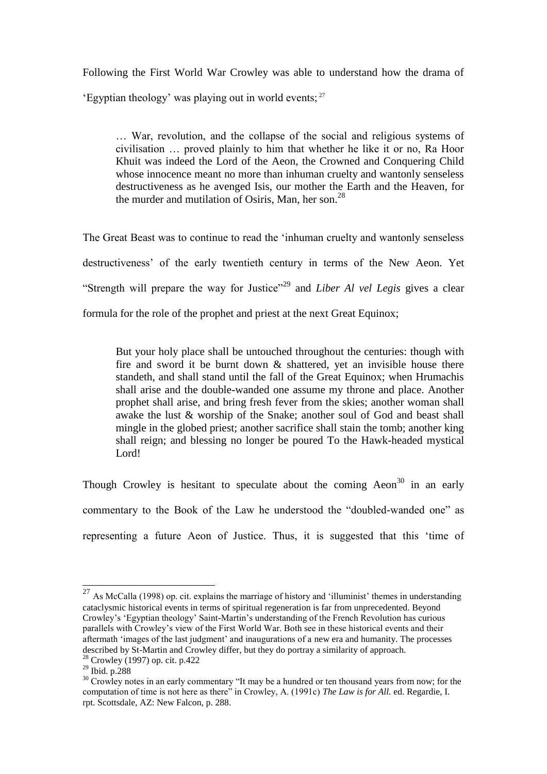Following the First World War Crowley was able to understand how the drama of 'Egyptian theology' was playing out in world events;  $27$ 

… War, revolution, and the collapse of the social and religious systems of civilisation … proved plainly to him that whether he like it or no, Ra Hoor Khuit was indeed the Lord of the Aeon, the Crowned and Conquering Child whose innocence meant no more than inhuman cruelty and wantonly senseless destructiveness as he avenged Isis, our mother the Earth and the Heaven, for the murder and mutilation of Osiris, Man, her son.<sup>28</sup>

The Great Beast was to continue to read the 'inhuman cruelty and wantonly senseless destructiveness' of the early twentieth century in terms of the New Aeon. Yet "Strength will prepare the way for Justice"<sup>29</sup> and *Liber Al vel Legis* gives a clear formula for the role of the prophet and priest at the next Great Equinox;

But your holy place shall be untouched throughout the centuries: though with fire and sword it be burnt down & shattered, yet an invisible house there standeth, and shall stand until the fall of the Great Equinox; when Hrumachis shall arise and the double-wanded one assume my throne and place. Another prophet shall arise, and bring fresh fever from the skies; another woman shall awake the lust & worship of the Snake; another soul of God and beast shall mingle in the globed priest; another sacrifice shall stain the tomb; another king shall reign; and blessing no longer be poured To the Hawk-headed mystical Lord!

Though Crowley is hesitant to speculate about the coming Aeon<sup>30</sup> in an early commentary to the Book of the Law he understood the "doubled-wanded one" as representing a future Aeon of Justice. Thus, it is suggested that this 'time of

 $27$  As McCalla (1998) op. cit. explains the marriage of history and 'illuminist' themes in understanding cataclysmic historical events in terms of spiritual regeneration is far from unprecedented. Beyond Crowley's 'Egyptian theology' Saint-Martin's understanding of the French Revolution has curious parallels with Crowley's view of the First World War. Both see in these historical events and their aftermath 'images of the last judgment' and inaugurations of a new era and humanity. The processes described by St-Martin and Crowley differ, but they do portray a similarity of approach. <sup>28</sup> Crowley (1997) op. cit. p.422

<sup>29</sup> Ibid. p.288

<sup>&</sup>lt;sup>30</sup> Crowley notes in an early commentary "It may be a hundred or ten thousand years from now; for the computation of time is not here as there" in Crowley, A. (1991c) *The Law is for All.* ed. Regardie, I. rpt. Scottsdale, AZ: New Falcon, p. 288.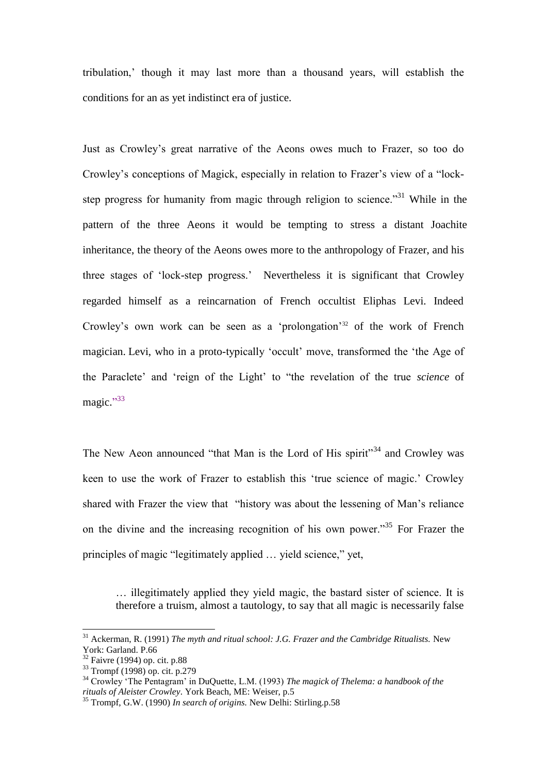tribulation,' though it may last more than a thousand years, will establish the conditions for an as yet indistinct era of justice.

Just as Crowley's great narrative of the Aeons owes much to Frazer, so too do Crowley's conceptions of Magick, especially in relation to Frazer's view of a "lockstep progress for humanity from magic through religion to science."<sup>31</sup> While in the pattern of the three Aeons it would be tempting to stress a distant Joachite inheritance, the theory of the Aeons owes more to the anthropology of Frazer, and his three stages of 'lock-step progress.' Nevertheless it is significant that Crowley regarded himself as a reincarnation of French occultist Eliphas Levi. Indeed Crowley's own work can be seen as a 'prolongation'<sup>32</sup> of the work of French magician. Levi, who in a proto-typically 'occult' move, transformed the 'the Age of the Paraclete' and 'reign of the Light' to "the revelation of the true *science* of magic."33

The New Aeon announced "that Man is the Lord of His spirit"<sup>34</sup> and Crowley was keen to use the work of Frazer to establish this 'true science of magic.' Crowley shared with Frazer the view that "history was about the lessening of Man's reliance on the divine and the increasing recognition of his own power."<sup>35</sup> For Frazer the principles of magic "legitimately applied … yield science," yet,

… illegitimately applied they yield magic, the bastard sister of science. It is therefore a truism, almost a tautology, to say that all magic is necessarily false

<sup>31</sup> Ackerman, R. (1991) *The myth and ritual school: J.G. Frazer and the Cambridge Ritualists.* New York: Garland. P.66

 $32$  Faivre (1994) op. cit. p.88

 $33$  Trompf (1998) op. cit. p.279

<sup>34</sup> Crowley 'The Pentagram' in DuQuette, L.M. (1993) *The magick of Thelema: a handbook of the rituals of Aleister Crowley*. York Beach, ME: Weiser, p.5

<sup>35</sup> Trompf, G.W. (1990) *In search of origins.* New Delhi: Stirling.p.58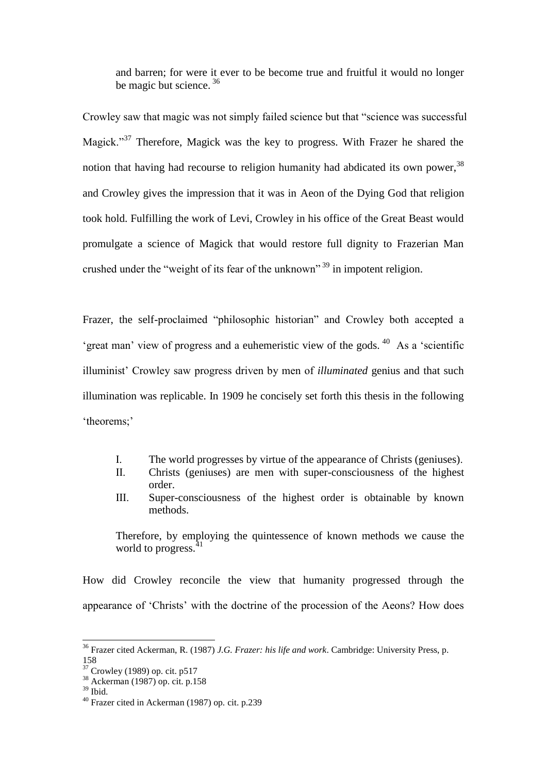and barren; for were it ever to be become true and fruitful it would no longer be magic but science.<sup>36</sup>

Crowley saw that magic was not simply failed science but that "science was successful Magick."<sup>37</sup> Therefore, Magick was the key to progress. With Frazer he shared the notion that having had recourse to religion humanity had abdicated its own power.<sup>38</sup> and Crowley gives the impression that it was in Aeon of the Dying God that religion took hold. Fulfilling the work of Levi, Crowley in his office of the Great Beast would promulgate a science of Magick that would restore full dignity to Frazerian Man crushed under the "weight of its fear of the unknown" <sup>39</sup> in impotent religion.

Frazer, the self-proclaimed "philosophic historian" and Crowley both accepted a 'great man' view of progress and a euhemeristic view of the gods.<sup>40</sup> As a 'scientific illuminist' Crowley saw progress driven by men of *illuminated* genius and that such illumination was replicable. In 1909 he concisely set forth this thesis in the following 'theorems;'

- I. The world progresses by virtue of the appearance of Christs (geniuses).
- II. Christs (geniuses) are men with super-consciousness of the highest order.
- III. Super-consciousness of the highest order is obtainable by known methods.

Therefore, by employing the quintessence of known methods we cause the world to progress.<sup>4</sup>

How did Crowley reconcile the view that humanity progressed through the appearance of 'Christs' with the doctrine of the procession of the Aeons? How does

<sup>36</sup> Frazer cited Ackerman, R. (1987) *J.G. Frazer: his life and work*. Cambridge: University Press, p. 158

 $37$  Crowley (1989) op. cit. p517

<sup>38</sup> Ackerman (1987) op. cit. p.158

 $39$  Ibid.

<sup>40</sup> Frazer cited in Ackerman (1987) op. cit. p.239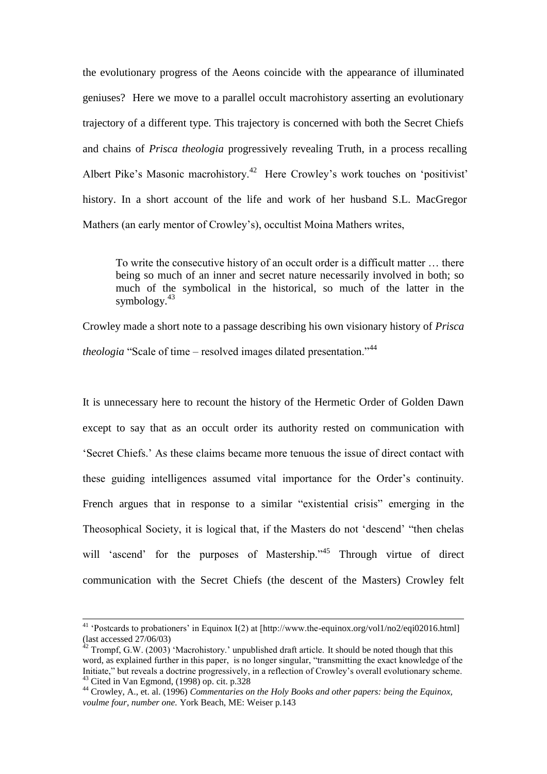the evolutionary progress of the Aeons coincide with the appearance of illuminated geniuses? Here we move to a parallel occult macrohistory asserting an evolutionary trajectory of a different type. This trajectory is concerned with both the Secret Chiefs and chains of *Prisca theologia* progressively revealing Truth, in a process recalling Albert Pike's Masonic macrohistory.<sup>42</sup> Here Crowley's work touches on 'positivist' history. In a short account of the life and work of her husband S.L. MacGregor Mathers (an early mentor of Crowley's), occultist Moina Mathers writes,

To write the consecutive history of an occult order is a difficult matter … there being so much of an inner and secret nature necessarily involved in both; so much of the symbolical in the historical, so much of the latter in the symbology.<sup>43</sup>

Crowley made a short note to a passage describing his own visionary history of *Prisca theologia* "Scale of time – resolved images dilated presentation."<sup>44</sup>

It is unnecessary here to recount the history of the Hermetic Order of Golden Dawn except to say that as an occult order its authority rested on communication with 'Secret Chiefs.' As these claims became more tenuous the issue of direct contact with these guiding intelligences assumed vital importance for the Order's continuity. French argues that in response to a similar "existential crisis" emerging in the Theosophical Society, it is logical that, if the Masters do not 'descend' "then chelas will 'ascend' for the purposes of Mastership."<sup>45</sup> Through virtue of direct communication with the Secret Chiefs (the descent of the Masters) Crowley felt

<sup>41</sup> 'Postcards to probationers' in Equinox I(2) at [http://www.the-equinox.org/vol1/no2/eqi02016.html] (last accessed 27/06/03)

 $42$  Trompf, G.W. (2003) 'Macrohistory.' unpublished draft article. It should be noted though that this word, as explained further in this paper, is no longer singular, "transmitting the exact knowledge of the Initiate," but reveals a doctrine progressively, in a reflection of Crowley's overall evolutionary scheme.  $^{43}$  Cited in Van Egmond, (1998) op. cit. p.328

<sup>44</sup> Crowley, A., et. al. (1996) *Commentaries on the Holy Books and other papers: being the Equinox, voulme four, number one.* York Beach, ME: Weiser p.143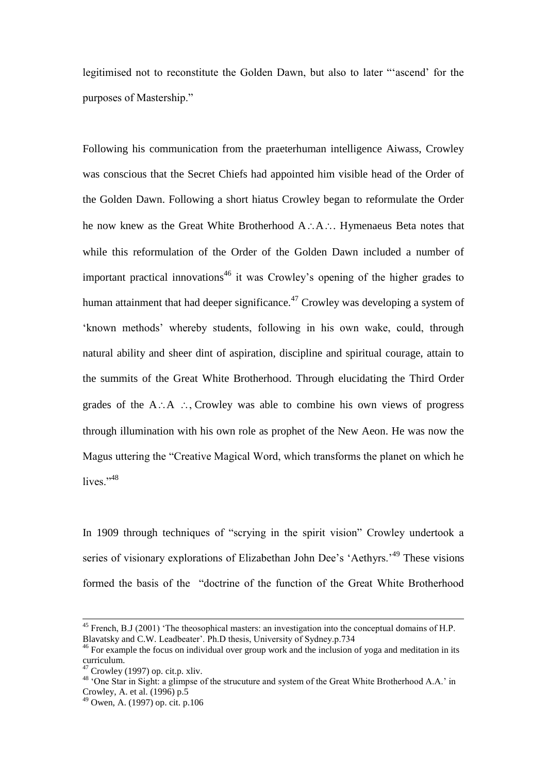legitimised not to reconstitute the Golden Dawn, but also to later "'ascend' for the purposes of Mastership."

Following his communication from the praeterhuman intelligence Aiwass, Crowley was conscious that the Secret Chiefs had appointed him visible head of the Order of the Golden Dawn. Following a short hiatus Crowley began to reformulate the Order he now knew as the Great White Brotherhood A∴A∴. Hymenaeus Beta notes that while this reformulation of the Order of the Golden Dawn included a number of important practical innovations<sup>46</sup> it was Crowley's opening of the higher grades to human attainment that had deeper significance.<sup>47</sup> Crowley was developing a system of 'known methods' whereby students, following in his own wake, could, through natural ability and sheer dint of aspiration, discipline and spiritual courage, attain to the summits of the Great White Brotherhood. Through elucidating the Third Order grades of the  $A \therefore A$   $\therefore$ , Crowley was able to combine his own views of progress through illumination with his own role as prophet of the New Aeon. He was now the Magus uttering the "Creative Magical Word, which transforms the planet on which he lives $"$ <sup>48</sup>

In 1909 through techniques of "scrying in the spirit vision" Crowley undertook a series of visionary explorations of Elizabethan John Dee's 'Aethyrs.<sup>49</sup> These visions formed the basis of the "doctrine of the function of the Great White Brotherhood

<sup>&</sup>lt;sup>45</sup> French, B.J (2001) 'The theosophical masters: an investigation into the conceptual domains of H.P. Blavatsky and C.W. Leadbeater'. Ph.D thesis, University of Sydney.p.734

<sup>&</sup>lt;sup>46</sup> For example the focus on individual over group work and the inclusion of yoga and meditation in its curriculum.

 $47$  Crowley (1997) op. cit.p. xliv.

<sup>48</sup> 'One Star in Sight: a glimpse of the strucuture and system of the Great White Brotherhood A.A.' in Crowley, A. et al. (1996) p.5

<sup>49</sup> Owen, A. (1997) op. cit. p.106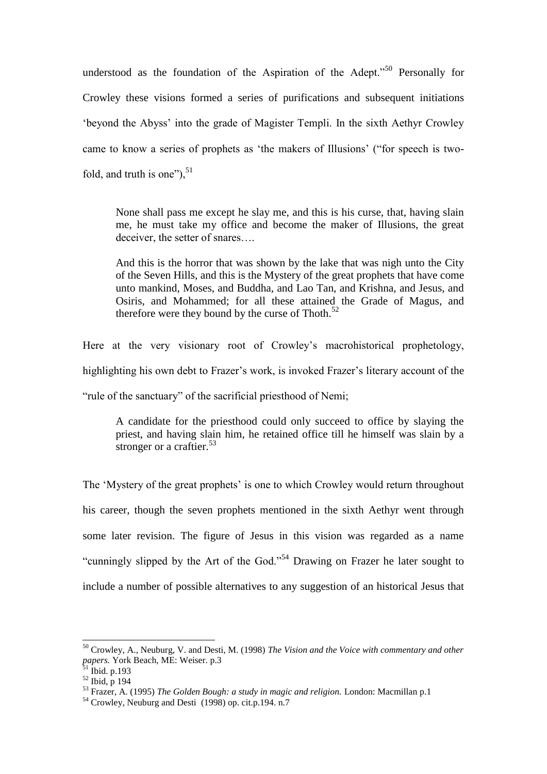understood as the foundation of the Aspiration of the Adept."<sup>50</sup> Personally for Crowley these visions formed a series of purifications and subsequent initiations 'beyond the Abyss' into the grade of Magister Templi. In the sixth Aethyr Crowley came to know a series of prophets as 'the makers of Illusions' ("for speech is twofold, and truth is one"), $51$ 

None shall pass me except he slay me, and this is his curse, that, having slain me, he must take my office and become the maker of Illusions, the great deceiver, the setter of snares….

And this is the horror that was shown by the lake that was nigh unto the City of the Seven Hills, and this is the Mystery of the great prophets that have come unto mankind, Moses, and Buddha, and Lao Tan, and Krishna, and Jesus, and Osiris, and Mohammed; for all these attained the Grade of Magus, and therefore were they bound by the curse of Thoth. $52$ 

Here at the very visionary root of Crowley's macrohistorical prophetology, highlighting his own debt to Frazer's work, is invoked Frazer's literary account of the "rule of the sanctuary" of the sacrificial priesthood of Nemi;

A candidate for the priesthood could only succeed to office by slaying the priest, and having slain him, he retained office till he himself was slain by a stronger or a craftier.<sup>53</sup>

The 'Mystery of the great prophets' is one to which Crowley would return throughout his career, though the seven prophets mentioned in the sixth Aethyr went through some later revision. The figure of Jesus in this vision was regarded as a name "cunningly slipped by the Art of the God."<sup>54</sup> Drawing on Frazer he later sought to include a number of possible alternatives to any suggestion of an historical Jesus that

<sup>50</sup> Crowley, A., Neuburg, V. and Desti, M. (1998) *The Vision and the Voice with commentary and other papers.* York Beach, ME: Weiser. p.3

 $51$  Ibid. p.193

<sup>52</sup> Ibid, p 194

<sup>53</sup> Frazer, A. (1995) *The Golden Bough: a study in magic and religion.* London: Macmillan p.1

 $54$  Crowley, Neuburg and Desti (1998) op. cit.p.194. n.7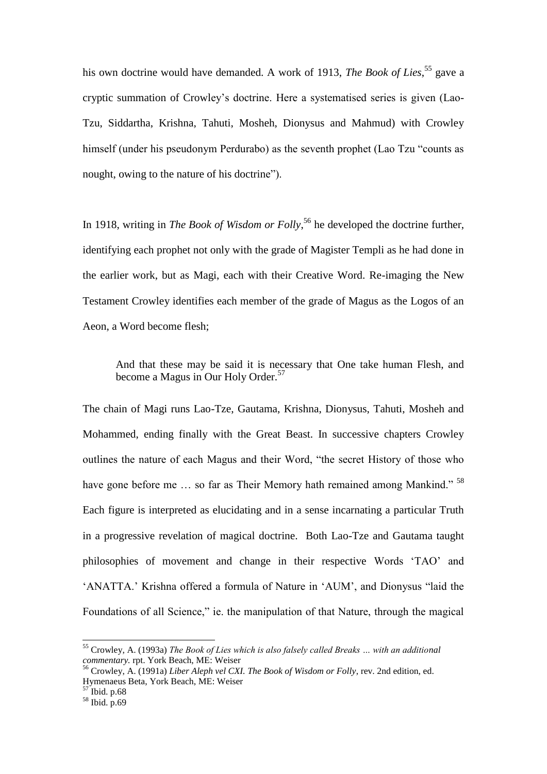his own doctrine would have demanded. A work of 1913, *The Book of Lies*, 55 gave a cryptic summation of Crowley's doctrine. Here a systematised series is given (Lao-Tzu, Siddartha, Krishna, Tahuti, Mosheh, Dionysus and Mahmud) with Crowley himself (under his pseudonym Perdurabo) as the seventh prophet (Lao Tzu "counts as nought, owing to the nature of his doctrine").

In 1918, writing in *The Book of Wisdom or Folly*, <sup>56</sup> he developed the doctrine further, identifying each prophet not only with the grade of Magister Templi as he had done in the earlier work, but as Magi, each with their Creative Word. Re-imaging the New Testament Crowley identifies each member of the grade of Magus as the Logos of an Aeon, a Word become flesh;

And that these may be said it is necessary that One take human Flesh, and become a Magus in Our Holy Order.<sup>57</sup>

The chain of Magi runs Lao-Tze, Gautama, Krishna, Dionysus, Tahuti, Mosheh and Mohammed, ending finally with the Great Beast. In successive chapters Crowley outlines the nature of each Magus and their Word, "the secret History of those who have gone before me ... so far as Their Memory hath remained among Mankind." <sup>58</sup> Each figure is interpreted as elucidating and in a sense incarnating a particular Truth in a progressive revelation of magical doctrine. Both Lao-Tze and Gautama taught philosophies of movement and change in their respective Words 'TAO' and 'ANATTA.' Krishna offered a formula of Nature in 'AUM', and Dionysus "laid the Foundations of all Science," ie. the manipulation of that Nature, through the magical

<sup>55</sup> Crowley, A. (1993a) *The Book of Lies which is also falsely called Breaks … with an additional commentary.* rpt. York Beach, ME: Weiser

<sup>56</sup> Crowley, A. (1991a) *Liber Aleph vel CXI. The Book of Wisdom or Folly*, rev. 2nd edition, ed. Hymenaeus Beta, York Beach, ME: Weiser

 $57$  Ibid. p.68

<sup>58</sup> Ibid. p.69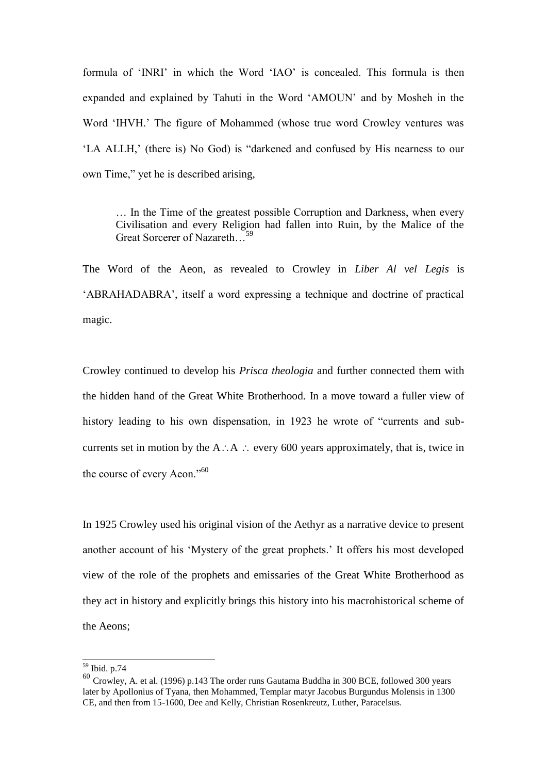formula of 'INRI' in which the Word 'IAO' is concealed. This formula is then expanded and explained by Tahuti in the Word 'AMOUN' and by Mosheh in the Word 'IHVH.' The figure of Mohammed (whose true word Crowley ventures was 'LA ALLH,' (there is) No God) is "darkened and confused by His nearness to our own Time," yet he is described arising,

… In the Time of the greatest possible Corruption and Darkness, when every Civilisation and every Religion had fallen into Ruin, by the Malice of the Great Sorcerer of Nazareth…<sup>59</sup>

The Word of the Aeon, as revealed to Crowley in *Liber Al vel Legis* is 'ABRAHADABRA', itself a word expressing a technique and doctrine of practical magic.

Crowley continued to develop his *Prisca theologia* and further connected them with the hidden hand of the Great White Brotherhood. In a move toward a fuller view of history leading to his own dispensation, in 1923 he wrote of "currents and subcurrents set in motion by the A $\therefore$  A  $\therefore$  every 600 years approximately, that is, twice in the course of every Aeon."<sup>60</sup>

In 1925 Crowley used his original vision of the Aethyr as a narrative device to present another account of his 'Mystery of the great prophets.' It offers his most developed view of the role of the prophets and emissaries of the Great White Brotherhood as they act in history and explicitly brings this history into his macrohistorical scheme of the Aeons;

<sup>59</sup> Ibid. p.74

<sup>60</sup> Crowley, A. et al. (1996) p.143 The order runs Gautama Buddha in 300 BCE, followed 300 years later by Apollonius of Tyana, then Mohammed, Templar matyr Jacobus Burgundus Molensis in 1300 CE, and then from 15-1600, Dee and Kelly, Christian Rosenkreutz, Luther, Paracelsus.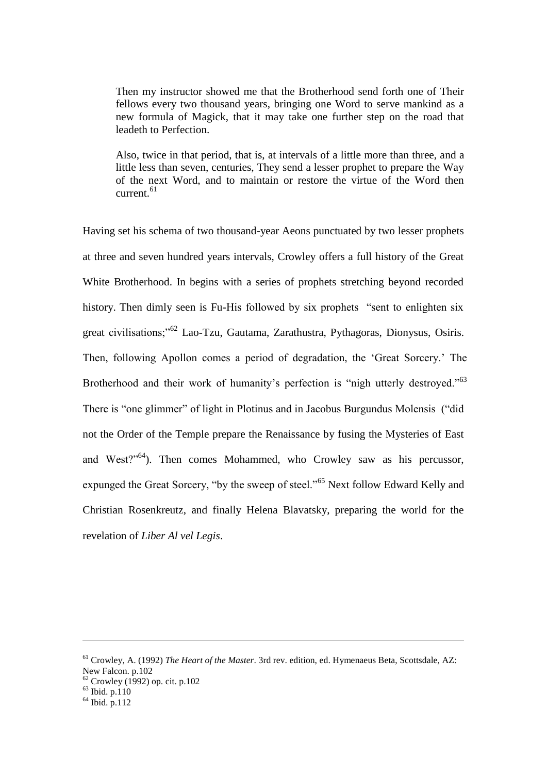Then my instructor showed me that the Brotherhood send forth one of Their fellows every two thousand years, bringing one Word to serve mankind as a new formula of Magick, that it may take one further step on the road that leadeth to Perfection.

Also, twice in that period, that is, at intervals of a little more than three, and a little less than seven, centuries, They send a lesser prophet to prepare the Way of the next Word, and to maintain or restore the virtue of the Word then  $current<sup>61</sup>$ 

Having set his schema of two thousand-year Aeons punctuated by two lesser prophets at three and seven hundred years intervals, Crowley offers a full history of the Great White Brotherhood. In begins with a series of prophets stretching beyond recorded history. Then dimly seen is Fu-His followed by six prophets "sent to enlighten six great civilisations;"<sup>62</sup> Lao-Tzu, Gautama, Zarathustra, Pythagoras, Dionysus, Osiris. Then, following Apollon comes a period of degradation, the 'Great Sorcery.' The Brotherhood and their work of humanity's perfection is "nigh utterly destroyed."<sup>63</sup> There is "one glimmer" of light in Plotinus and in Jacobus Burgundus Molensis ("did not the Order of the Temple prepare the Renaissance by fusing the Mysteries of East and West?"<sup>64</sup>). Then comes Mohammed, who Crowley saw as his percussor, expunged the Great Sorcery, "by the sweep of steel."<sup>65</sup> Next follow Edward Kelly and Christian Rosenkreutz, and finally Helena Blavatsky, preparing the world for the revelation of *Liber Al vel Legis*.

<sup>61</sup> Crowley, A. (1992) *The Heart of the Master*. 3rd rev. edition, ed. Hymenaeus Beta, Scottsdale, AZ: New Falcon. p.102 <sup>62</sup> Crowley (1992) op. cit. p.102

 $63$  Ibid. p. 110

 $64$  Ibid. p.112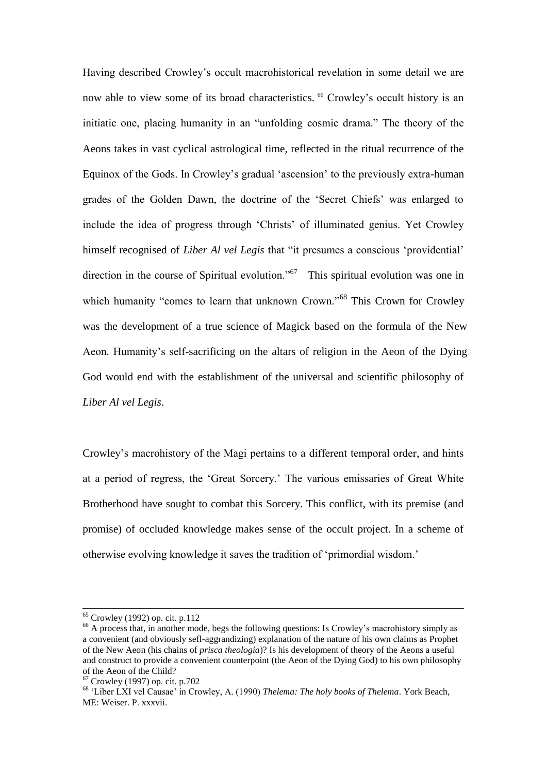Having described Crowley's occult macrohistorical revelation in some detail we are now able to view some of its broad characteristics. <sup>66</sup> Crowley's occult history is an initiatic one, placing humanity in an "unfolding cosmic drama." The theory of the Aeons takes in vast cyclical astrological time, reflected in the ritual recurrence of the Equinox of the Gods. In Crowley's gradual 'ascension' to the previously extra-human grades of the Golden Dawn, the doctrine of the 'Secret Chiefs' was enlarged to include the idea of progress through 'Christs' of illuminated genius. Yet Crowley himself recognised of *Liber Al vel Legis* that "it presumes a conscious 'providential' direction in the course of Spiritual evolution."<sup>67</sup> This spiritual evolution was one in which humanity "comes to learn that unknown Crown."<sup>68</sup> This Crown for Crowley was the development of a true science of Magick based on the formula of the New Aeon. Humanity's self-sacrificing on the altars of religion in the Aeon of the Dying God would end with the establishment of the universal and scientific philosophy of *Liber Al vel Legis*.

Crowley's macrohistory of the Magi pertains to a different temporal order, and hints at a period of regress, the 'Great Sorcery.' The various emissaries of Great White Brotherhood have sought to combat this Sorcery. This conflict, with its premise (and promise) of occluded knowledge makes sense of the occult project. In a scheme of otherwise evolving knowledge it saves the tradition of 'primordial wisdom.'

 $65$  Crowley (1992) op. cit. p.112

<sup>&</sup>lt;sup>66</sup> A process that, in another mode, begs the following questions: Is Crowley's macrohistory simply as a convenient (and obviously sefl-aggrandizing) explanation of the nature of his own claims as Prophet of the New Aeon (his chains of *prisca theologia*)? Is his development of theory of the Aeons a useful and construct to provide a convenient counterpoint (the Aeon of the Dying God) to his own philosophy of the Aeon of the Child?

<sup>67</sup> Crowley (1997) op. cit. p.702

<sup>68</sup> 'Liber LXI vel Causae' in Crowley, A. (1990) *Thelema: The holy books of Thelema*. York Beach, ME: Weiser. P. xxxvii.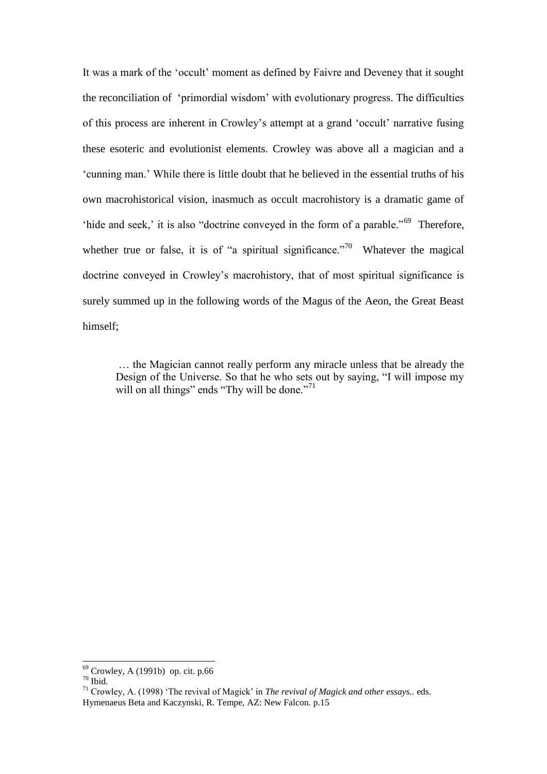It was a mark of the 'occult' moment as defined by Faivre and Deveney that it sought the reconciliation of 'primordial wisdom' with evolutionary progress. The difficulties of this process are inherent in Crowley's attempt at a grand 'occult' narrative fusing these esoteric and evolutionist elements. Crowley was above all a magician and a 'cunning man.' While there is little doubt that he believed in the essential truths of his own macrohistorical vision, inasmuch as occult macrohistory is a dramatic game of 'hide and seek,' it is also "doctrine conveyed in the form of a parable."<sup>69</sup> Therefore, whether true or false, it is of "a spiritual significance."<sup>70</sup> Whatever the magical doctrine conveyed in Crowley's macrohistory, that of most spiritual significance is surely summed up in the following words of the Magus of the Aeon, the Great Beast himself;

… the Magician cannot really perform any miracle unless that be already the Design of the Universe. So that he who sets out by saying, "I will impose my will on all things" ends "Thy will be done."<sup>71</sup>

<sup>69</sup> Crowley, A (1991b) op. cit. p.66

<sup>70</sup> Ibid.

<sup>71</sup> Crowley, A. (1998) 'The revival of Magick' in *The revival of Magick and other essays..* eds. Hymenaeus Beta and Kaczynski, R. Tempe, AZ: New Falcon. p.15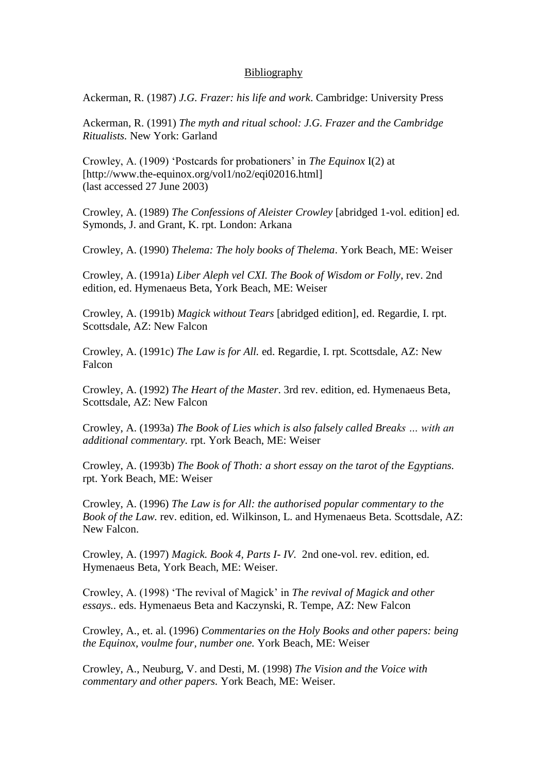## Bibliography

Ackerman, R. (1987) *J.G. Frazer: his life and work*. Cambridge: University Press

Ackerman, R. (1991) *The myth and ritual school: J.G. Frazer and the Cambridge Ritualists.* New York: Garland

Crowley, A. (1909) 'Postcards for probationers' in *The Equinox* I(2) at [http://www.the-equinox.org/vol1/no2/eqi02016.html] (last accessed 27 June 2003)

Crowley, A. (1989) *The Confessions of Aleister Crowley* [abridged 1-vol. edition] ed. Symonds, J. and Grant, K. rpt. London: Arkana

Crowley, A. (1990) *Thelema: The holy books of Thelema*. York Beach, ME: Weiser

Crowley, A. (1991a) *Liber Aleph vel CXI. The Book of Wisdom or Folly*, rev. 2nd edition, ed. Hymenaeus Beta, York Beach, ME: Weiser

Crowley, A. (1991b) *Magick without Tears* [abridged edition], ed. Regardie, I. rpt. Scottsdale, AZ: New Falcon

Crowley, A. (1991c) *The Law is for All.* ed. Regardie, I. rpt. Scottsdale, AZ: New Falcon

Crowley, A. (1992) *The Heart of the Master*. 3rd rev. edition, ed. Hymenaeus Beta, Scottsdale, AZ: New Falcon

Crowley, A. (1993a) *The Book of Lies which is also falsely called Breaks … with an additional commentary.* rpt. York Beach, ME: Weiser

Crowley, A. (1993b) *The Book of Thoth: a short essay on the tarot of the Egyptians.*  rpt. York Beach, ME: Weiser

Crowley, A. (1996) *The Law is for All: the authorised popular commentary to the Book of the Law.* rev. edition, ed. Wilkinson, L. and Hymenaeus Beta. Scottsdale, AZ: New Falcon.

Crowley, A. (1997) *Magick. Book 4, Parts I- IV.* 2nd one-vol. rev. edition, ed. Hymenaeus Beta, York Beach, ME: Weiser.

Crowley, A. (1998) 'The revival of Magick' in *The revival of Magick and other essays..* eds. Hymenaeus Beta and Kaczynski, R. Tempe, AZ: New Falcon

Crowley, A., et. al. (1996) *Commentaries on the Holy Books and other papers: being the Equinox, voulme four, number one.* York Beach, ME: Weiser

Crowley, A., Neuburg, V. and Desti, M. (1998) *The Vision and the Voice with commentary and other papers.* York Beach, ME: Weiser.